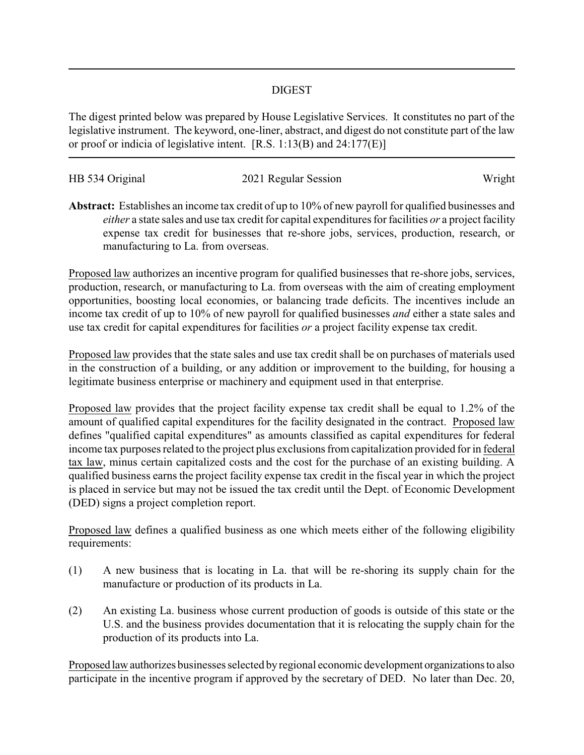## DIGEST

The digest printed below was prepared by House Legislative Services. It constitutes no part of the legislative instrument. The keyword, one-liner, abstract, and digest do not constitute part of the law or proof or indicia of legislative intent. [R.S. 1:13(B) and 24:177(E)]

| HB 534 Original | 2021 Regular Session | Wright |
|-----------------|----------------------|--------|
|                 |                      |        |

**Abstract:** Establishes an income tax credit of up to 10% of new payroll for qualified businesses and *either* a state sales and use tax credit for capital expenditures for facilities *or* a project facility expense tax credit for businesses that re-shore jobs, services, production, research, or manufacturing to La. from overseas.

Proposed law authorizes an incentive program for qualified businesses that re-shore jobs, services, production, research, or manufacturing to La. from overseas with the aim of creating employment opportunities, boosting local economies, or balancing trade deficits. The incentives include an income tax credit of up to 10% of new payroll for qualified businesses *and* either a state sales and use tax credit for capital expenditures for facilities *or* a project facility expense tax credit.

Proposed law provides that the state sales and use tax credit shall be on purchases of materials used in the construction of a building, or any addition or improvement to the building, for housing a legitimate business enterprise or machinery and equipment used in that enterprise.

Proposed law provides that the project facility expense tax credit shall be equal to 1.2% of the amount of qualified capital expenditures for the facility designated in the contract. Proposed law defines "qualified capital expenditures" as amounts classified as capital expenditures for federal income tax purposes related to the project plus exclusions from capitalization provided for in federal tax law, minus certain capitalized costs and the cost for the purchase of an existing building. A qualified business earns the project facility expense tax credit in the fiscal year in which the project is placed in service but may not be issued the tax credit until the Dept. of Economic Development (DED) signs a project completion report.

Proposed law defines a qualified business as one which meets either of the following eligibility requirements:

- (1) A new business that is locating in La. that will be re-shoring its supply chain for the manufacture or production of its products in La.
- (2) An existing La. business whose current production of goods is outside of this state or the U.S. and the business provides documentation that it is relocating the supply chain for the production of its products into La.

Proposed lawauthorizes businesses selected byregional economic development organizationsto also participate in the incentive program if approved by the secretary of DED. No later than Dec. 20,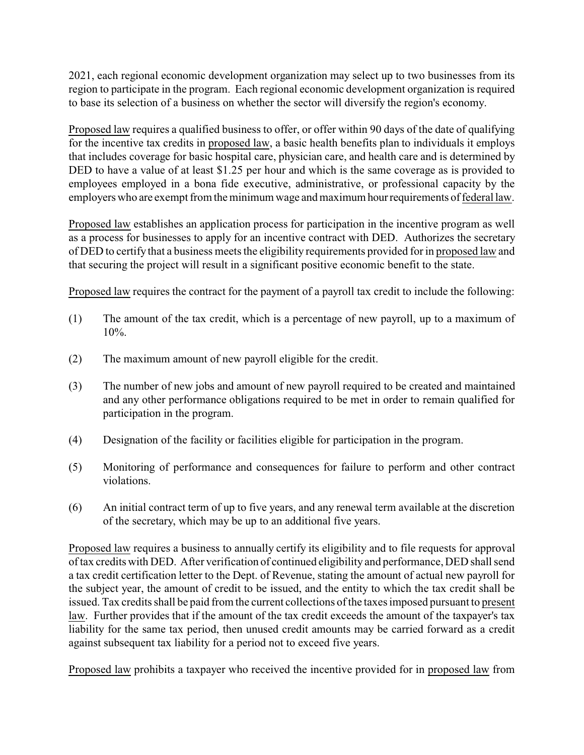2021, each regional economic development organization may select up to two businesses from its region to participate in the program. Each regional economic development organization is required to base its selection of a business on whether the sector will diversify the region's economy.

Proposed law requires a qualified business to offer, or offer within 90 days of the date of qualifying for the incentive tax credits in proposed law, a basic health benefits plan to individuals it employs that includes coverage for basic hospital care, physician care, and health care and is determined by DED to have a value of at least \$1.25 per hour and which is the same coverage as is provided to employees employed in a bona fide executive, administrative, or professional capacity by the employers who are exempt from the minimum wage and maximumhourrequirements of federal law.

Proposed law establishes an application process for participation in the incentive program as well as a process for businesses to apply for an incentive contract with DED. Authorizes the secretary of DED to certify that a business meets the eligibility requirements provided for in proposed law and that securing the project will result in a significant positive economic benefit to the state.

Proposed law requires the contract for the payment of a payroll tax credit to include the following:

- (1) The amount of the tax credit, which is a percentage of new payroll, up to a maximum of  $10\%$ .
- (2) The maximum amount of new payroll eligible for the credit.
- (3) The number of new jobs and amount of new payroll required to be created and maintained and any other performance obligations required to be met in order to remain qualified for participation in the program.
- (4) Designation of the facility or facilities eligible for participation in the program.
- (5) Monitoring of performance and consequences for failure to perform and other contract violations.
- (6) An initial contract term of up to five years, and any renewal term available at the discretion of the secretary, which may be up to an additional five years.

Proposed law requires a business to annually certify its eligibility and to file requests for approval of tax credits with DED. After verification of continued eligibility and performance, DED shall send a tax credit certification letter to the Dept. of Revenue, stating the amount of actual new payroll for the subject year, the amount of credit to be issued, and the entity to which the tax credit shall be issued. Tax credits shall be paid from the current collections of the taxes imposed pursuant to present law. Further provides that if the amount of the tax credit exceeds the amount of the taxpayer's tax liability for the same tax period, then unused credit amounts may be carried forward as a credit against subsequent tax liability for a period not to exceed five years.

Proposed law prohibits a taxpayer who received the incentive provided for in proposed law from